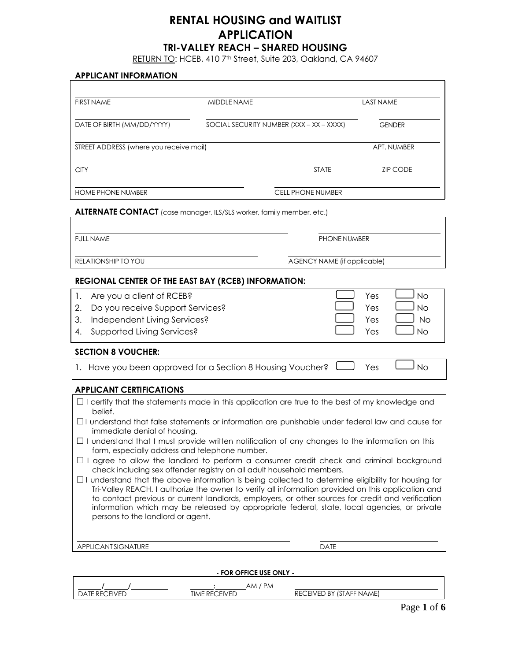# **RENTAL HOUSING and WAITLIST APPLICATION**

# **TRI-VALLEY REACH – SHARED HOUSING**

RETURN TO: HCEB, 410 7<sup>th</sup> Street, Suite 203, Oakland, CA 94607

#### **APPLICANT INFORMATION**

| <b>FIRST NAME</b>                                          | <b>MIDDLE NAME</b>                                                    | <b>LAST NAME</b> |
|------------------------------------------------------------|-----------------------------------------------------------------------|------------------|
| DATE OF BIRTH (MM/DD/YYYY)                                 | SOCIAL SECURITY NUMBER (XXX - XX - XXXX)                              | <b>GENDER</b>    |
| STREET ADDRESS (where you receive mail)                    |                                                                       | APT. NUMBER      |
| <b>CITY</b>                                                | <b>STATE</b>                                                          | <b>ZIP CODE</b>  |
| <b>HOME PHONE NUMBER</b>                                   | <b>CELL PHONE NUMBER</b>                                              |                  |
|                                                            | ALTERNATE CONTACT (case manager, ILS/SLS worker, family member, etc.) |                  |
| <b>FULL NAME</b>                                           | PHONE NUMBER                                                          |                  |
| <b>RELATIONSHIP TO YOU</b>                                 | AGENCY NAME (if applicable)                                           |                  |
| <b>REGIONAL CENTER OF THE EAST BAY (RCEB) INFORMATION:</b> |                                                                       |                  |

| 1. Are you a client of RCEB?        | Yes | $\overline{\phantom{a}}$ No |
|-------------------------------------|-----|-----------------------------|
| 2. Do you receive Support Services? | Yes | $\overline{\phantom{a}}$ No |
| 3. Independent Living Services?     | Yes | No.                         |
| 4. Supported Living Services?       | Yes | $\overline{M}$              |
|                                     |     |                             |

#### **SECTION 8 VOUCHER:**

| 1. Have you been approved for a Section 8 Housing Voucher? $\Box$ Yes $\Box$ No |  |
|---------------------------------------------------------------------------------|--|
|---------------------------------------------------------------------------------|--|

### **APPLICANT CERTIFICATIONS**

|         |  |  | $\Box$ I certify that the statements made in this application are true to the best of my knowledge and |  |  |  |  |
|---------|--|--|--------------------------------------------------------------------------------------------------------|--|--|--|--|
| belief. |  |  |                                                                                                        |  |  |  |  |

- **□** I understand that false statements or information are punishable under federal law and cause for immediate denial of housing.
- **□** I understand that I must provide written notification of any changes to the information on this form, especially address and telephone number.
- **□** I agree to allow the landlord to perform a consumer credit check and criminal background check including sex offender registry on all adult household members.
- **□** I understand that the above information is being collected to determine eligibility for housing for Tri-Valley REACH. I authorize the owner to verify all information provided on this application and to contact previous or current landlords, employers, or other sources for credit and verification information which may be released by appropriate federal, state, local agencies, or private persons to the landlord or agent.

APPLICANT SIGNATURE DATE

**- FOR OFFICE USE ONLY -**

|                                            | <b>PM</b><br>MA                        |                                                                   |
|--------------------------------------------|----------------------------------------|-------------------------------------------------------------------|
| <b>FIVED</b><br>R⊢<br>$\Delta$<br>، ب<br>. | <b>FIVER</b><br>TIME<br>RFL<br>∸∟<br>◝ | $10 - 1$<br>$-$<br><b>NAME</b><br>RF.<br>ED BY<br>TIALE.<br>FIVF1 |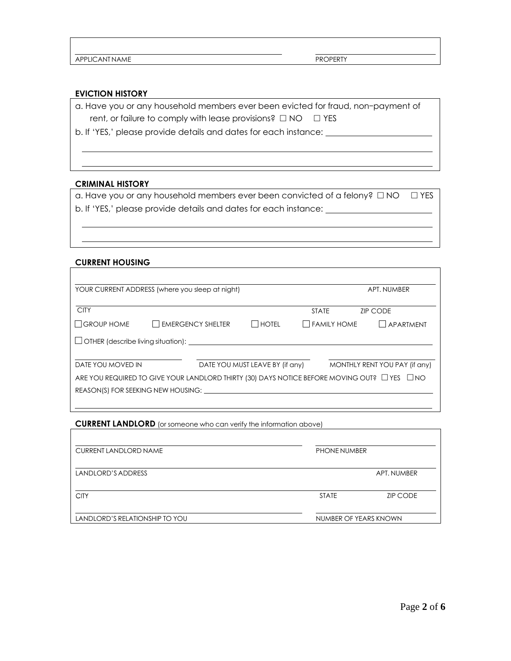APPLICANT NAME PROPERTY

### **EVICTION HISTORY**

a. Have you or any household members ever been evicted for fraud, non-payment of rent, or failure to comply with lease provisions?  $\Box$  NO  $\Box$  YES

b. If 'YES,' please provide details and dates for each instance:

### **CRIMINAL HISTORY**

a. Have you or any household members ever been convicted of a felony? □ NO □ YES b. If 'YES,' please provide details and dates for each instance:

### **CURRENT HOUSING**

| YOUR CURRENT ADDRESS (where you sleep at night) |                                                                                                        |                                 |                    | APT. NUMBER                   |
|-------------------------------------------------|--------------------------------------------------------------------------------------------------------|---------------------------------|--------------------|-------------------------------|
| <b>CITY</b>                                     |                                                                                                        |                                 | <b>STATE</b>       | <b>ZIP CODE</b>               |
| $\Box$ GROUP HOME                               | <b>LEMERGENCY SHELTER</b>                                                                              | <b>I HOTEL</b>                  | $\Box$ FAMILY HOME | l Lapartment                  |
|                                                 |                                                                                                        |                                 |                    |                               |
| DATE YOU MOVED IN                               |                                                                                                        | DATE YOU MUST LEAVE BY (if any) |                    | MONTHLY RENT YOU PAY (if any) |
|                                                 | ARE YOU REQUIRED TO GIVE YOUR LANDLORD THIRTY (30) DAYS NOTICE BEFORE MOVING OUT? $\Box$ YES $\Box$ NO |                                 |                    |                               |
|                                                 | REASON(S) FOR SEEKING NEW HOUSING:                                                                     |                                 |                    |                               |

**CURRENT LANDLORD** (or someone who can verify the information above)

| <b>CURRENT LANDLORD NAME</b>   | <b>PHONE NUMBER</b>   |                 |  |
|--------------------------------|-----------------------|-----------------|--|
| LANDLORD'S ADDRESS             |                       | APT. NUMBER     |  |
| <b>CITY</b>                    | <b>STATE</b>          | <b>ZIP CODE</b> |  |
| LANDLORD'S RELATIONSHIP TO YOU | NUMBER OF YEARS KNOWN |                 |  |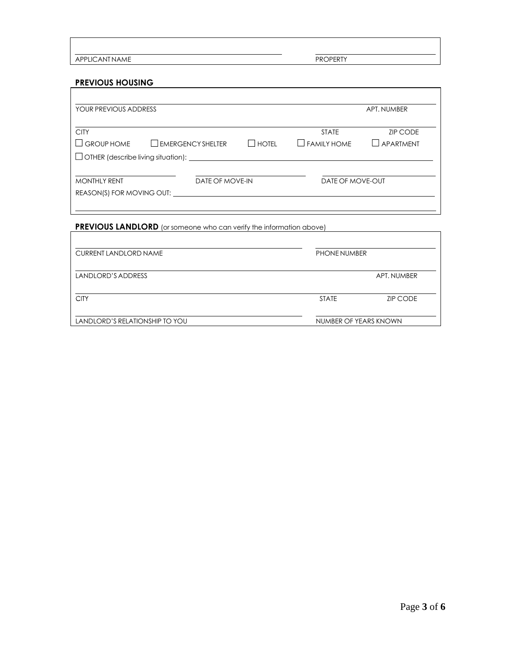APPLICANT NAME PROPERTY

# **PREVIOUS HOUSING**

| YOUR PREVIOUS ADDRESS             |                                              |              |                      | APT. NUMBER     |
|-----------------------------------|----------------------------------------------|--------------|----------------------|-----------------|
| <b>CITY</b>                       |                                              |              | <b>STATE</b>         | <b>ZIP CODE</b> |
| <b>GROUP HOME</b><br>$\mathbf{I}$ | $\Box$ EMERGENCY SHELTER                     | <b>HOTFI</b> | <b>I</b> FAMILY HOME | APARTMENT       |
|                                   | □ OTHER (describe living situation): <u></u> |              |                      |                 |
| <b>MONTHLY RENT</b>               | DATE OF MOVE-IN                              |              | DATE OF MOVE-OUT     |                 |
| REASON(S) FOR MOVING OUT:         |                                              |              |                      |                 |

# **PREVIOUS LANDLORD** (or someone who can verify the information above)

| <b>CURRENT LANDLORD NAME</b>   | PHONE NUMBER          |                 |  |
|--------------------------------|-----------------------|-----------------|--|
| LANDLORD'S ADDRESS             |                       | APT. NUMBER     |  |
| <b>CITY</b>                    | <b>STATE</b>          | <b>ZIP CODE</b> |  |
| LANDLORD'S RELATIONSHIP TO YOU | NUMBER OF YEARS KNOWN |                 |  |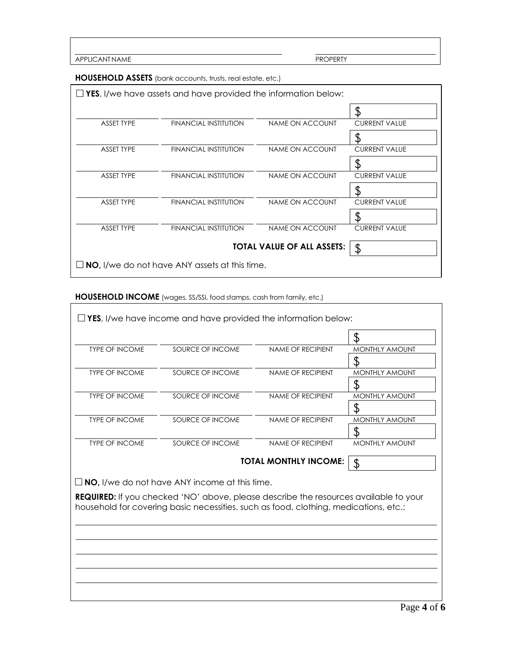APPLICANT NAME

Ĭ

**HOUSEHOLD ASSETS** (bank accounts, trusts, real estate, etc.)

|                   | $\Box$ YES, I/we have assets and have provided the information below: |                                   |                      |
|-------------------|-----------------------------------------------------------------------|-----------------------------------|----------------------|
|                   |                                                                       |                                   | \$                   |
| <b>ASSET TYPE</b> | <b>FINANCIAL INSTITUTION</b>                                          | <b>NAME ON ACCOUNT</b>            | <b>CURRENT VALUE</b> |
|                   |                                                                       |                                   |                      |
| <b>ASSET TYPE</b> | <b>FINANCIAL INSTITUTION</b>                                          | <b>NAME ON ACCOUNT</b>            | <b>CURRENT VALUE</b> |
|                   |                                                                       |                                   | S                    |
| <b>ASSET TYPE</b> | <b>FINANCIAL INSTITUTION</b>                                          | NAME ON ACCOUNT                   | <b>CURRENT VALUE</b> |
|                   |                                                                       |                                   | S                    |
| <b>ASSET TYPE</b> | <b>FINANCIAL INSTITUTION</b>                                          | <b>NAME ON ACCOUNT</b>            | <b>CURRENT VALUE</b> |
|                   |                                                                       |                                   | S                    |
| <b>ASSET TYPE</b> | FINANCIAL INSTITUTION                                                 | NAME ON ACCOUNT                   | <b>CURRENT VALUE</b> |
|                   |                                                                       | <b>TOTAL VALUE OF ALL ASSETS:</b> | $\frac{1}{2}$        |
|                   | $\Box$ NO, I/we do not have ANY assets at this time.                  |                                   |                      |

# **HOUSEHOLD INCOME** (wages, SS/SSI, food stamps, cash from family, etc.)

|                       |                                                                                             |                              | S                     |
|-----------------------|---------------------------------------------------------------------------------------------|------------------------------|-----------------------|
| <b>TYPE OF INCOME</b> | SOURCE OF INCOME                                                                            | <b>NAME OF RECIPIENT</b>     | <b>MONTHLY AMOUNT</b> |
|                       |                                                                                             |                              | \$                    |
| <b>TYPE OF INCOME</b> | SOURCE OF INCOME                                                                            | <b>NAME OF RECIPIENT</b>     | <b>MONTHLY AMOUNT</b> |
|                       |                                                                                             |                              |                       |
| <b>TYPE OF INCOME</b> | SOURCE OF INCOME                                                                            | <b>NAME OF RECIPIENT</b>     | <b>MONTHLY AMOUNT</b> |
|                       |                                                                                             |                              |                       |
| <b>TYPE OF INCOME</b> | SOURCE OF INCOME                                                                            | <b>NAME OF RECIPIENT</b>     | <b>MONTHLY AMOUNT</b> |
|                       |                                                                                             |                              |                       |
| <b>TYPE OF INCOME</b> | SOURCE OF INCOME                                                                            | <b>NAME OF RECIPIENT</b>     | <b>MONTHLY AMOUNT</b> |
|                       |                                                                                             | <b>TOTAL MONTHLY INCOME:</b> | \$                    |
|                       | $\Box$ NO, I/we do not have ANY income at this time.                                        |                              |                       |
|                       | <b>REQUIRED:</b> If you checked 'NO' above, please describe the resources available to your |                              |                       |
|                       | household for covering basic necessities, such as food, clothing, medications, etc.:        |                              |                       |
|                       |                                                                                             |                              |                       |
|                       |                                                                                             |                              |                       |
|                       |                                                                                             |                              |                       |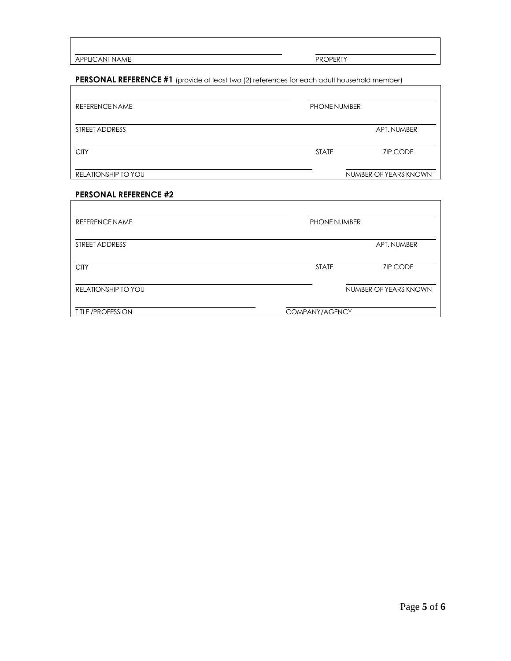APPLICANT NAME

 $\overline{\Gamma}$ 

 $\overline{1}$ 

**PERSONAL REFERENCE #1** (provide at least two (2) references for each adult household member)

| <b>REFERENCE NAME</b> | <b>PHONE NUMBER</b> |                       |
|-----------------------|---------------------|-----------------------|
| STREET ADDRESS        |                     | APT. NUMBER           |
| <b>CITY</b>           | <b>STATE</b>        | <b>ZIP CODE</b>       |
| RELATIONSHIP TO YOU   |                     | NUMBER OF YEARS KNOWN |

## **PERSONAL REFERENCE #2**

| <b>REFERENCE NAME</b>      | PHONE NUMBER   |                       |
|----------------------------|----------------|-----------------------|
| STREET ADDRESS             |                | APT. NUMBER           |
| <b>CITY</b>                | <b>STATE</b>   | <b>ZIP CODE</b>       |
| <b>RELATIONSHIP TO YOU</b> |                | NUMBER OF YEARS KNOWN |
| <b>TITLE /PROFESSION</b>   | COMPANY/AGENCY |                       |